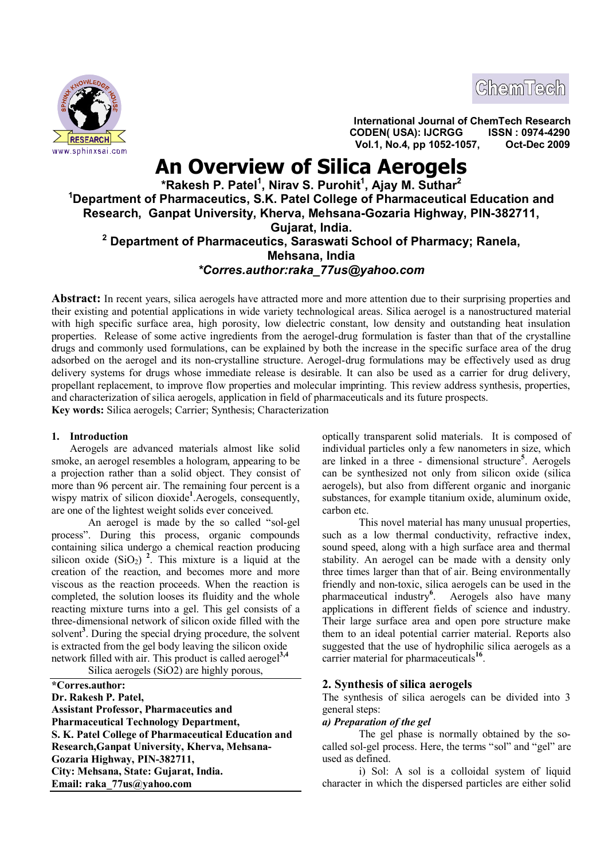



**International Journal of ChemTech Research CODEN( USA): IJCRGG ISSN : 0974-4290 <u>EISEARCH States and the contract of the contract of the contract of the contract of the contract of the contract of the contract of the contract of the contract of the contract of the contract of the contract of the cont**</u>

# **An Overview of Silica Aerogels**

# **\*Rakesh P. Patel<sup>1</sup> , Nirav S. Purohit<sup>1</sup> , Ajay M. Suthar<sup>2</sup> <sup>1</sup>Department of Pharmaceutics, S.K. Patel College of Pharmaceutical Education and Research, Ganpat University, Kherva, Mehsana-Gozaria Highway, PIN-382711, Gujarat, India. 2 Department of Pharmaceutics, Saraswati School of Pharmacy; Ranela, Mehsana, India** *\*Corres.author:raka\_77us@yahoo.com*

**Abstract:** In recent years, silica aerogels have attracted more and more attention due to their surprising properties and their existing and potential applications in wide variety technological areas. Silica aerogel is a nanostructured material with high specific surface area, high porosity, low dielectric constant, low density and outstanding heat insulation properties. Release of some active ingredients from the aerogel-drug formulation is faster than that of the crystalline drugs and commonly used formulations, can be explained by both the increase in the specific surface area of the drug adsorbed on the aerogel and its non-crystalline structure. Aerogel-drug formulations may be effectively used as drug delivery systems for drugs whose immediate release is desirable. It can also be used as a carrier for drug delivery, propellant replacement, to improve flow properties and molecular imprinting. This review address synthesis, properties, and characterization of silica aerogels, application in field of pharmaceuticals and its future prospects. **Key words:** Silica aerogels; Carrier; Synthesis; Characterization

# **1. Introduction**

Aerogels are advanced materials almost like solid smoke, an aerogel resembles a hologram, appearing to be a projection rather than a solid object. They consist of more than 96 percent air. The remaining four percent is a wispy matrix of silicon dioxide**<sup>1</sup>** .Aerogels, consequently, are one of the lightest weight solids ever conceived.

An aerogel is made by the so called "sol-gel process". During this process, organic compounds containing silica undergo a chemical reaction producing silicon oxide  $(SiO<sub>2</sub>)$ <sup>2</sup>. This mixture is a liquid at the creation of the reaction, and becomes more and more viscous as the reaction proceeds. When the reaction is completed, the solution looses its fluidity and the whole reacting mixture turns into a gel. This gel consists of a three-dimensional network of silicon oxide filled with the solvent<sup>3</sup>. During the special drying procedure, the solvent is extracted from the gel body leaving the silicon oxide network filled with air. This product is called aerogel**3,4**

Silica aerogels (SiO2) are highly porous,

**\*Corres.author: Dr. Rakesh P. Patel, Assistant Professor, Pharmaceutics and Pharmaceutical Technology Department, S. K. Patel College of Pharmaceutical Education and Research,Ganpat University, Kherva, Mehsana-Gozaria Highway, PIN-382711, City: Mehsana, State: Gujarat, India. Email: raka\_77us@yahoo.com**

optically transparent solid materials. It is composed of individual particles only a few nanometers in size, which are linked in a three - dimensional structure**<sup>5</sup>** . Aerogels can be synthesized not only from silicon oxide (silica aerogels), but also from different organic and inorganic substances, for example titanium oxide, aluminum oxide, carbon etc.

This novel material has many unusual properties, such as a low thermal conductivity, refractive index, sound speed, along with a high surface area and thermal stability. An aerogel can be made with a density only three times larger than that of air. Being environmentally friendly and non-toxic, silica aerogels can be used in the pharmaceutical industry**<sup>6</sup>** . Aerogels also have many applications in different fields of science and industry. Their large surface area and open pore structure make them to an ideal potential carrier material. Reports also suggested that the use of hydrophilic silica aerogels as a carrier material for pharmaceuticals**<sup>16</sup>** .

# **2. Synthesis of silica aerogels**

The synthesis of silica aerogels can be divided into 3 general steps:

## *a) Preparation of the gel*

The gel phase is normally obtained by the socalled sol-gel process. Here, the terms "sol" and "gel" are used as defined.

i) Sol: A sol is a colloidal system of liquid character in which the dispersed particles are either solid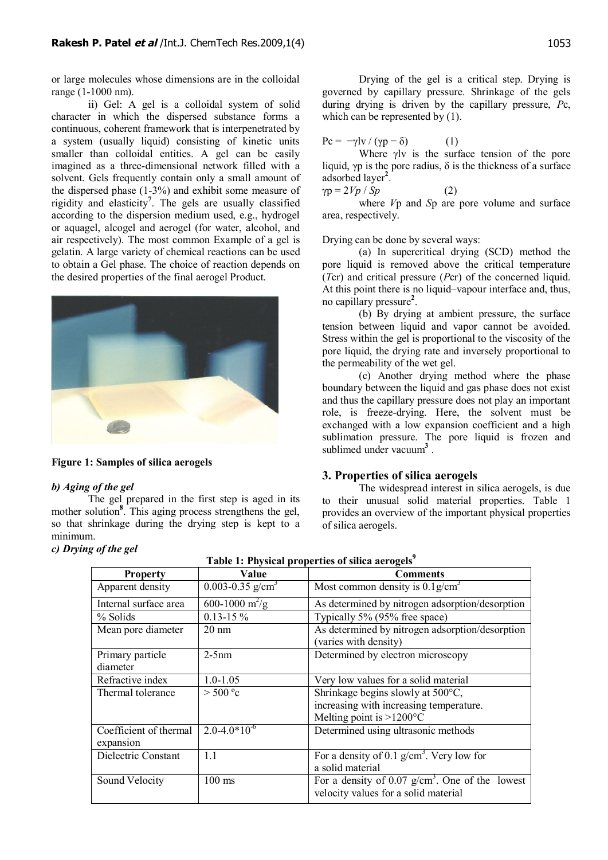or large molecules whose dimensions are in the colloidal range (1-1000 nm).

ii) Gel: A gel is a colloidal system of solid character in which the dispersed substance forms a continuous, coherent framework that is interpenetrated by a system (usually liquid) consisting of kinetic units smaller than colloidal entities. A gel can be easily imagined as a three-dimensional network filled with a solvent. Gels frequently contain only a small amount of the dispersed phase (1-3%) and exhibit some measure of rigidity and elasticity**<sup>7</sup>** . The gels are usually classified according to the dispersion medium used, e.g., hydrogel or aquagel, alcogel and aerogel (for water, alcohol, and air respectively). The most common Example of a gel is gelatin. A large variety of chemical reactions can be used to obtain a Gel phase. The choice of reaction depends on the desired properties of the final aerogel Product.



## **Figure 1: Samples of silica aerogels**

## *b) Aging of the gel*

The gel prepared in the first step is aged in its mother solution**<sup>8</sup>** . This aging process strengthens the gel, so that shrinkage during the drying step is kept to a minimum.

## *c) Drying of the gel*

Drying of the gel is a critical step. Drying is governed by capillary pressure. Shrinkage of the gels during drying is driven by the capillary pressure, *P*c, which can be represented by  $(1)$ .

$$
Pc = -\gamma Iv / (\gamma p - \delta)
$$
 (1)

Where γlv is the surface tension of the pore liquid, γp is the pore radius,  $\delta$  is the thickness of a surface adsorbed layer**<sup>2</sup>** .

$$
\gamma p = 2Vp / Sp \tag{2}
$$

where *V*p and *S*p are pore volume and surface area, respectively.

Drying can be done by several ways:

(a) In supercritical drying (SCD) method the pore liquid is removed above the critical temperature (*T*cr) and critical pressure (*P*cr) of the concerned liquid. At this point there is no liquid–vapour interface and, thus, no capillary pressure**<sup>2</sup>** .

(b) By drying at ambient pressure, the surface tension between liquid and vapor cannot be avoided. Stress within the gel is proportional to the viscosity of the pore liquid, the drying rate and inversely proportional to the permeability of the wet gel.

(c) Another drying method where the phase boundary between the liquid and gas phase does not exist and thus the capillary pressure does not play an important role, is freeze-drying. Here, the solvent must be exchanged with a low expansion coefficient and a high sublimation pressure. The pore liquid is frozen and sublimed under vacuum<sup>3</sup>.

## **3. Properties of silica aerogels**

The widespread interest in silica aerogels, is due to their unusual solid material properties. Table 1 provides an overview of the important physical properties of silica aerogels.

| <b>Property</b>                     | Value                 | <b>Comments</b>                                                                                                    |
|-------------------------------------|-----------------------|--------------------------------------------------------------------------------------------------------------------|
| Apparent density                    | 0.003-0.35 $g/cm3$    | Most common density is $\overline{0.1g/cm^3}$                                                                      |
| Internal surface area               | 600-1000 $\rm m^2/g$  | As determined by nitrogen adsorption/desorption                                                                    |
| % Solids                            | $0.13 - 15 \%$        | Typically 5% (95% free space)                                                                                      |
| Mean pore diameter                  | $20 \text{ nm}$       | As determined by nitrogen adsorption/desorption<br>(varies with density)                                           |
| Primary particle<br>diameter        | $2-5nm$               | Determined by electron microscopy                                                                                  |
| Refractive index                    | $1.0 - 1.05$          | Very low values for a solid material                                                                               |
| Thermal tolerance                   | > 500 °c              | Shrinkage begins slowly at 500°C,<br>increasing with increasing temperature.<br>Melting point is $>1200^{\circ}$ C |
| Coefficient of thermal<br>expansion | $2.0 - 4.0 * 10^{-6}$ | Determined using ultrasonic methods                                                                                |
| Dielectric Constant                 | 1.1                   | For a density of 0.1 $g/cm^3$ . Very low for<br>a solid material                                                   |
| Sound Velocity                      | $100$ ms              | For a density of 0.07 $g/cm3$ . One of the lowest<br>velocity values for a solid material                          |

**Table 1: Physical properties of silica aerogels<sup>9</sup>**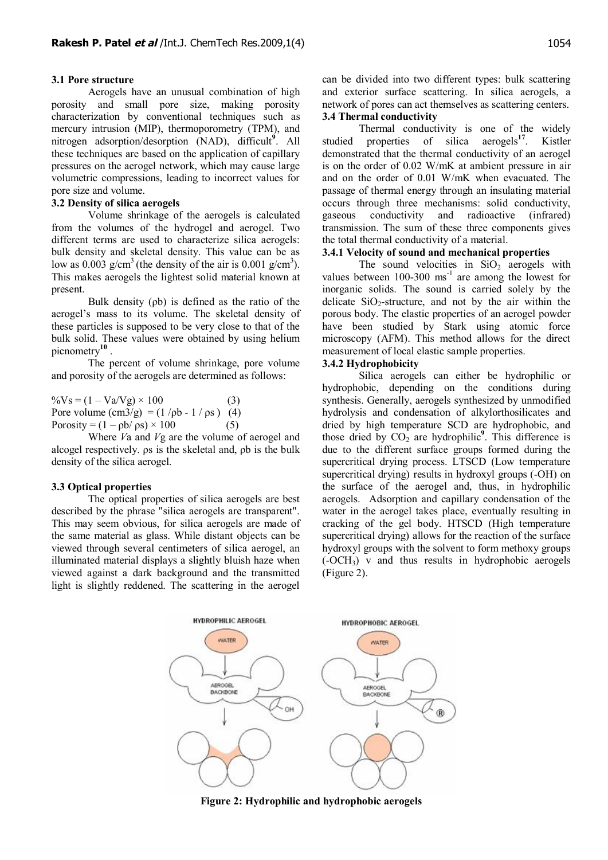#### **3.1 Pore structure**

Aerogels have an unusual combination of high porosity and small pore size, making porosity characterization by conventional techniques such as mercury intrusion (MIP), thermoporometry (TPM), and nitrogen adsorption/desorption (NAD), difficult**<sup>9</sup>** . All these techniques are based on the application of capillary pressures on the aerogel network, which may cause large volumetric compressions, leading to incorrect values for pore size and volume.

## **3.2 Density of silica aerogels**

Volume shrinkage of the aerogels is calculated from the volumes of the hydrogel and aerogel. Two different terms are used to characterize silica aerogels: bulk density and skeletal density. This value can be as low as 0.003 g/cm<sup>3</sup> (the density of the air is 0.001 g/cm<sup>3</sup>). This makes aerogels the lightest solid material known at present.

Bulk density (ρb) is defined as the ratio of the aerogel's mass to its volume. The skeletal density of these particles is supposed to be very close to that of the bulk solid. These values were obtained by using helium picnometry**<sup>10</sup>** .

The percent of volume shrinkage, pore volume and porosity of the aerogels are determined as follows:

 $\%V_s = (1 - Va/Vg) \times 100$  (3) Pore volume  $\text{(cm3/g)} = (1/\text{pb} - 1/\text{ps})$  (4) Porosity =  $(1 - pb/\rho s) \times 100$  (5)

Where *V*a and *V*g are the volume of aerogel and alcogel respectively. ρs is the skeletal and, ρb is the bulk density of the silica aerogel.

#### **3.3 Optical properties**

The optical properties of silica aerogels are best described by the phrase "silica aerogels are transparent". This may seem obvious, for silica aerogels are made of the same material as glass. While distant objects can be viewed through several centimeters of silica aerogel, an illuminated material displays a slightly bluish haze when viewed against a dark background and the transmitted light is slightly reddened. The scattering in the aerogel

can be divided into two different types: bulk scattering and exterior surface scattering. In silica aerogels, a network of pores can act themselves as scattering centers. **3.4 Thermal conductivity**

Thermal conductivity is one of the widely studied properties of silica aerogels**<sup>17</sup>**. Kistler demonstrated that the thermal conductivity of an aerogel is on the order of 0.02 W/mK at ambient pressure in air and on the order of 0.01 W/mK when evacuated. The passage of thermal energy through an insulating material occurs through three mechanisms: solid conductivity, gaseous conductivity and radioactive (infrared) transmission. The sum of these three components gives the total thermal conductivity of a material.

## **3.4.1 Velocity of sound and mechanical properties**

The sound velocities in  $SiO<sub>2</sub>$  aerogels with values between  $100-300 \text{ ms}^{-1}$  are among the lowest for inorganic solids. The sound is carried solely by the delicate  $SiO<sub>2</sub>$ -structure, and not by the air within the porous body. The elastic properties of an aerogel powder have been studied by Stark using atomic force microscopy (AFM). This method allows for the direct measurement of local elastic sample properties.

## **3.4.2 Hydrophobicity**

Silica aerogels can either be hydrophilic or hydrophobic, depending on the conditions during synthesis. Generally, aerogels synthesized by unmodified hydrolysis and condensation of alkylorthosilicates and dried by high temperature SCD are hydrophobic, and those dried by  $CO<sub>2</sub>$  are hydrophilic<sup>9</sup>. This difference is due to the different surface groups formed during the supercritical drying process. LTSCD (Low temperature supercritical drying) results in hydroxyl groups (-OH) on the surface of the aerogel and, thus, in hydrophilic aerogels. Adsorption and capillary condensation of the water in the aerogel takes place, eventually resulting in cracking of the gel body. HTSCD (High temperature supercritical drying) allows for the reaction of the surface hydroxyl groups with the solvent to form methoxy groups (-OCH3) v and thus results in hydrophobic aerogels (Figure 2).



**Figure 2: Hydrophilic and hydrophobic aerogels**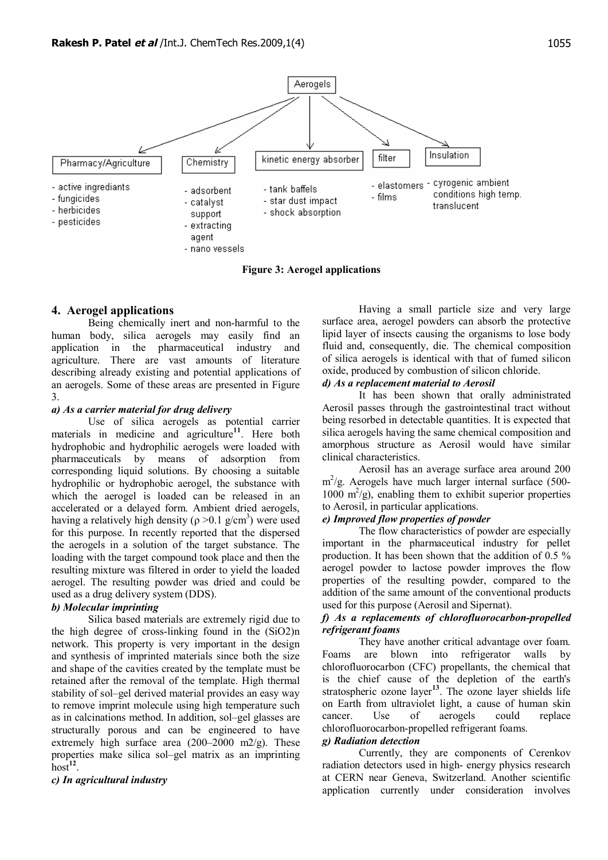

**Figure 3: Aerogel applications**

# **4. Aerogel applications**

Being chemically inert and non-harmful to the human body, silica aerogels may easily find an application in the pharmaceutical industry and agriculture. There are vast amounts of literature describing already existing and potential applications of an aerogels. Some of these areas are presented in Figure 3.

## *a) As a carrier material for drug delivery*

Use of silica aerogels as potential carrier materials in medicine and agriculture**<sup>11</sup>**. Here both hydrophobic and hydrophilic aerogels were loaded with pharmaceuticals by means of adsorption from corresponding liquid solutions. By choosing a suitable hydrophilic or hydrophobic aerogel, the substance with which the aerogel is loaded can be released in an accelerated or a delayed form. Ambient dried aerogels, having a relatively high density ( $\rho > 0.1$  g/cm<sup>3</sup>) were used for this purpose. In recently reported that the dispersed the aerogels in a solution of the target substance. The loading with the target compound took place and then the resulting mixture was filtered in order to yield the loaded aerogel. The resulting powder was dried and could be used as a drug delivery system (DDS).

# *b) Molecular imprinting*

Silica based materials are extremely rigid due to the high degree of cross-linking found in the (SiO2)n network. This property is very important in the design and synthesis of imprinted materials since both the size and shape of the cavities created by the template must be retained after the removal of the template. High thermal stability of sol–gel derived material provides an easy way to remove imprint molecule using high temperature such as in calcinations method. In addition, sol–gel glasses are structurally porous and can be engineered to have extremely high surface area (200–2000 m2/g). These properties make silica sol–gel matrix as an imprinting host**<sup>12</sup>** .

# *c) In agricultural industry*

Having a small particle size and very large surface area, aerogel powders can absorb the protective lipid layer of insects causing the organisms to lose body fluid and, consequently, die. The chemical composition of silica aerogels is identical with that of fumed silicon oxide, produced by combustion of silicon chloride.

## *d) As a replacement material to Aerosil*

It has been shown that orally administrated Aerosil passes through the gastrointestinal tract without being resorbed in detectable quantities. It is expected that silica aerogels having the same chemical composition and amorphous structure as Aerosil would have similar clinical characteristics.

Aerosil has an average surface area around 200 m 2 /g. Aerogels have much larger internal surface (500- 1000  $\text{m}^2/\text{g}$ , enabling them to exhibit superior properties to Aerosil, in particular applications.

# *e) Improved flow properties of powder*

The flow characteristics of powder are especially important in the pharmaceutical industry for pellet production. It has been shown that the addition of 0.5 % aerogel powder to lactose powder improves the flow properties of the resulting powder, compared to the addition of the same amount of the conventional products used for this purpose (Aerosil and Sipernat).

# *f) As a replacements of chlorofluorocarbon-propelled refrigerant foams*

They have another critical advantage over foam. Foams are blown into refrigerator walls by chlorofluorocarbon (CFC) propellants, the chemical that is the chief cause of the depletion of the earth's stratospheric ozone layer<sup>13</sup>. The ozone layer shields life on Earth from ultraviolet light, a cause of human skin cancer. Use of aerogels could replace chlorofluorocarbon-propelled refrigerant foams.

## *g) Radiation detection*

Currently, they are components of Cerenkov radiation detectors used in high- energy physics research at CERN near Geneva, Switzerland. Another scientific application currently under consideration involves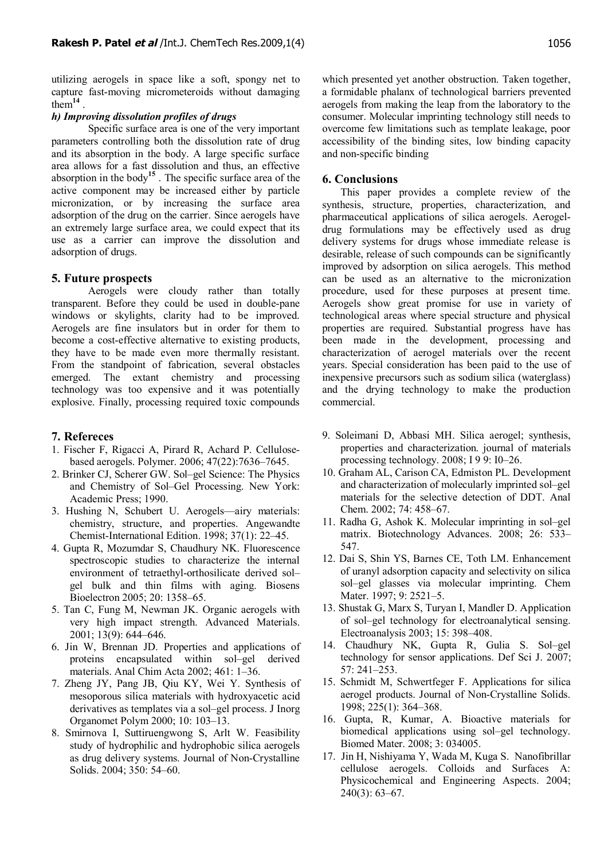utilizing aerogels in space like a soft, spongy net to capture fast-moving micrometeroids without damaging them<sup>14</sup>.

## *h) Improving dissolution profiles of drugs*

Specific surface area is one of the very important parameters controlling both the dissolution rate of drug and its absorption in the body. A large specific surface area allows for a fast dissolution and thus, an effective absorption in the body**<sup>15</sup>** . The specific surface area of the active component may be increased either by particle micronization, or by increasing the surface area adsorption of the drug on the carrier. Since aerogels have an extremely large surface area, we could expect that its use as a carrier can improve the dissolution and adsorption of drugs.

## **5. Future prospects**

Aerogels were cloudy rather than totally transparent. Before they could be used in double-pane windows or skylights, clarity had to be improved. Aerogels are fine insulators but in order for them to become a cost-effective alternative to existing products, they have to be made even more thermally resistant. From the standpoint of fabrication, several obstacles emerged. The extant chemistry and processing technology was too expensive and it was potentially explosive. Finally, processing required toxic compounds

## **7. Refereces**

- 1. Fischer F, Rigacci A, Pirard R, Achard P. Cellulosebased aerogels. Polymer. 2006; 47(22):7636–7645.
- 2. Brinker CJ, Scherer GW. Sol–gel Science: The Physics and Chemistry of Sol–Gel Processing. New York: Academic Press; 1990.
- 3. Hushing N, Schubert U. Aerogels—airy materials: chemistry, structure, and properties. Angewandte Chemist-International Edition. 1998; 37(1): 22–45.
- 4. Gupta R, Mozumdar S, Chaudhury NK. Fluorescence spectroscopic studies to characterize the internal environment of tetraethyl-orthosilicate derived sol– gel bulk and thin films with aging. Biosens Bioelectron 2005; 20: 1358–65.
- 5. Tan C, Fung M, Newman JK. Organic aerogels with very high impact strength. Advanced Materials. 2001; 13(9): 644–646.
- 6. Jin W, Brennan JD. Properties and applications of proteins encapsulated within sol–gel derived materials. Anal Chim Acta 2002; 461: 1–36.
- 7. Zheng JY, Pang JB, Qiu KY, Wei Y. Synthesis of mesoporous silica materials with hydroxyacetic acid derivatives as templates via a sol–gel process. J Inorg Organomet Polym 2000; 10: 103–13.
- 8. Smirnova I, Suttiruengwong S, Arlt W. Feasibility study of hydrophilic and hydrophobic silica aerogels as drug delivery systems. Journal of Non-Crystalline Solids. 2004; 350: 54–60.

which presented yet another obstruction. Taken together, a formidable phalanx of technological barriers prevented aerogels from making the leap from the laboratory to the consumer. Molecular imprinting technology still needs to overcome few limitations such as template leakage, poor accessibility of the binding sites, low binding capacity and non-specific binding

## **6. Conclusions**

This paper provides a complete review of the synthesis, structure, properties, characterization, and pharmaceutical applications of silica aerogels. Aerogeldrug formulations may be effectively used as drug delivery systems for drugs whose immediate release is desirable, release of such compounds can be significantly improved by adsorption on silica aerogels. This method can be used as an alternative to the micronization procedure, used for these purposes at present time. Aerogels show great promise for use in variety of technological areas where special structure and physical properties are required. Substantial progress have has been made in the development, processing and characterization of aerogel materials over the recent years. Special consideration has been paid to the use of inexpensive precursors such as sodium silica (waterglass) and the drying technology to make the production commercial.

- 9. Soleimani D, Abbasi MH. Silica aerogel; synthesis, properties and characterization. journal of materials processing technology. 2008; I 9 9: I0–26.
- 10. Graham AL, Carison CA, Edmiston PL. Development and characterization of molecularly imprinted sol–gel materials for the selective detection of DDT. Anal Chem. 2002; 74: 458–67.
- 11. Radha G, Ashok K. Molecular imprinting in sol–gel matrix. Biotechnology Advances. 2008; 26: 533– 547.
- 12. Dai S, Shin YS, Barnes CE, Toth LM. Enhancement of uranyl adsorption capacity and selectivity on silica sol–gel glasses via molecular imprinting. Chem Mater. 1997; 9: 2521–5.
- 13. Shustak G, Marx S, Turyan I, Mandler D. Application of sol–gel technology for electroanalytical sensing. Electroanalysis 2003; 15: 398–408.
- 14. Chaudhury NK, Gupta R, Gulia S. Sol–gel technology for sensor applications. Def Sci J. 2007; 57: 241–253.
- 15. Schmidt M, Schwertfeger F. Applications for silica aerogel products. Journal of Non-Crystalline Solids. 1998; 225(1): 364–368.
- 16. Gupta, R, Kumar, A. Bioactive materials for biomedical applications using sol–gel technology. Biomed Mater. 2008; 3: 034005.
- 17. Jin H, Nishiyama Y, Wada M, Kuga S. Nanofibrillar cellulose aerogels. Colloids and Surfaces A: Physicochemical and Engineering Aspects. 2004; 240(3): 63–67.